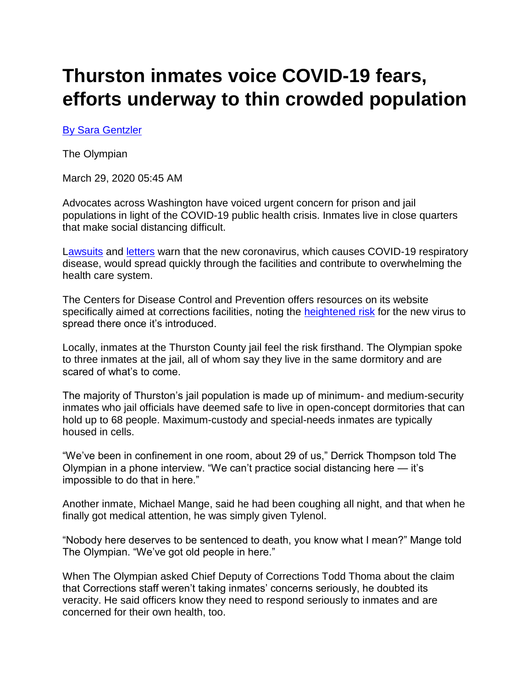# **Thurston inmates voice COVID-19 fears, efforts underway to thin crowded population**

## [By Sara Gentzler](mailto:sgentzler@theolympian.com)

The Olympian

March 29, 2020 05:45 AM

Advocates across Washington have voiced urgent concern for prison and jail populations in light of the COVID-19 public health crisis. Inmates live in close quarters that make social distancing difficult.

[Lawsuits](https://columbialegal.org/lawsuit-urges-immediate-action-to-protect-people-in-washington-prisons-from-covid-19/) and [letters](https://www.aclu-wa.org/docs/covid-19-king-county-jail-letter#overlay-context=story/our-response-covid-19) warn that the new coronavirus, which causes COVID-19 respiratory disease, would spread quickly through the facilities and contribute to overwhelming the health care system.

The Centers for Disease Control and Prevention offers resources on its website specifically aimed at corrections facilities, noting the [heightened risk](https://www.cdc.gov/coronavirus/2019-ncov/community/correction-detention/guidance-correctional-detention.html) for the new virus to spread there once it's introduced.

Locally, inmates at the Thurston County jail feel the risk firsthand. The Olympian spoke to three inmates at the jail, all of whom say they live in the same dormitory and are scared of what's to come.

The majority of Thurston's jail population is made up of minimum- and medium-security inmates who jail officials have deemed safe to live in open-concept dormitories that can hold up to 68 people. Maximum-custody and special-needs inmates are typically housed in cells.

"We've been in confinement in one room, about 29 of us," Derrick Thompson told The Olympian in a phone interview. "We can't practice social distancing here — it's impossible to do that in here."

Another inmate, Michael Mange, said he had been coughing all night, and that when he finally got medical attention, he was simply given Tylenol.

"Nobody here deserves to be sentenced to death, you know what I mean?" Mange told The Olympian. "We've got old people in here."

When The Olympian asked Chief Deputy of Corrections Todd Thoma about the claim that Corrections staff weren't taking inmates' concerns seriously, he doubted its veracity. He said officers know they need to respond seriously to inmates and are concerned for their own health, too.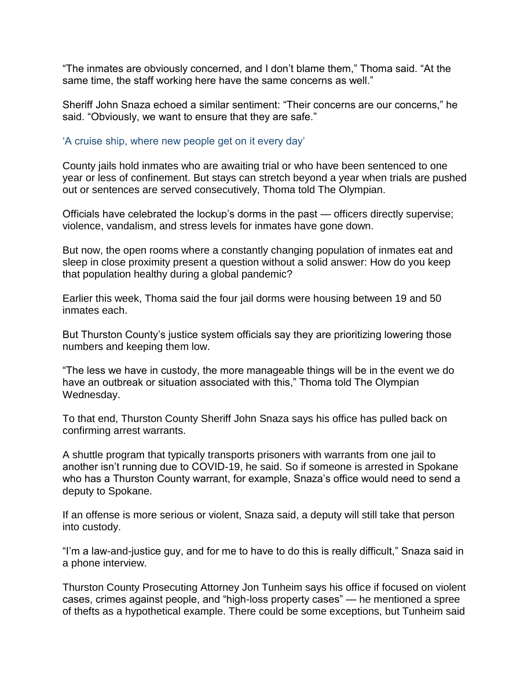"The inmates are obviously concerned, and I don't blame them," Thoma said. "At the same time, the staff working here have the same concerns as well."

Sheriff John Snaza echoed a similar sentiment: "Their concerns are our concerns," he said. "Obviously, we want to ensure that they are safe."

### 'A cruise ship, where new people get on it every day'

County jails hold inmates who are awaiting trial or who have been sentenced to one year or less of confinement. But stays can stretch beyond a year when trials are pushed out or sentences are served consecutively, Thoma told The Olympian.

Officials have celebrated the lockup's dorms in the past — officers directly supervise; violence, vandalism, and stress levels for inmates have gone down.

But now, the open rooms where a constantly changing population of inmates eat and sleep in close proximity present a question without a solid answer: How do you keep that population healthy during a global pandemic?

Earlier this week, Thoma said the four jail dorms were housing between 19 and 50 inmates each.

But Thurston County's justice system officials say they are prioritizing lowering those numbers and keeping them low.

"The less we have in custody, the more manageable things will be in the event we do have an outbreak or situation associated with this," Thoma told The Olympian Wednesday.

To that end, Thurston County Sheriff John Snaza says his office has pulled back on confirming arrest warrants.

A shuttle program that typically transports prisoners with warrants from one jail to another isn't running due to COVID-19, he said. So if someone is arrested in Spokane who has a Thurston County warrant, for example, Snaza's office would need to send a deputy to Spokane.

If an offense is more serious or violent, Snaza said, a deputy will still take that person into custody.

"I'm a law-and-justice guy, and for me to have to do this is really difficult," Snaza said in a phone interview.

Thurston County Prosecuting Attorney Jon Tunheim says his office if focused on violent cases, crimes against people, and "high-loss property cases" — he mentioned a spree of thefts as a hypothetical example. There could be some exceptions, but Tunheim said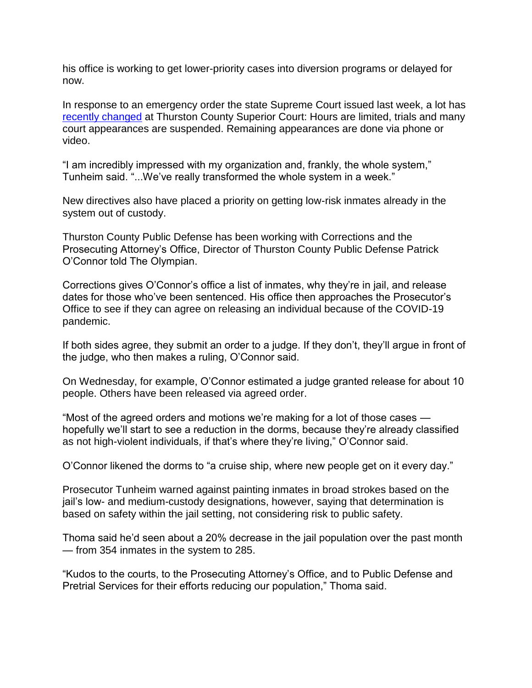his office is working to get lower-priority cases into diversion programs or delayed for now.

In response to an emergency order the state Supreme Court issued last week, a lot has [recently changed](https://www.thurstoncountywa.gov/sc/scdocuments/MC%20Signage%20effective%203232020%20updated.pdf) at Thurston County Superior Court: Hours are limited, trials and many court appearances are suspended. Remaining appearances are done via phone or video.

"I am incredibly impressed with my organization and, frankly, the whole system," Tunheim said. "...We've really transformed the whole system in a week."

New directives also have placed a priority on getting low-risk inmates already in the system out of custody.

Thurston County Public Defense has been working with Corrections and the Prosecuting Attorney's Office, Director of Thurston County Public Defense Patrick O'Connor told The Olympian.

Corrections gives O'Connor's office a list of inmates, why they're in jail, and release dates for those who've been sentenced. His office then approaches the Prosecutor's Office to see if they can agree on releasing an individual because of the COVID-19 pandemic.

If both sides agree, they submit an order to a judge. If they don't, they'll argue in front of the judge, who then makes a ruling, O'Connor said.

On Wednesday, for example, O'Connor estimated a judge granted release for about 10 people. Others have been released via agreed order.

"Most of the agreed orders and motions we're making for a lot of those cases hopefully we'll start to see a reduction in the dorms, because they're already classified as not high-violent individuals, if that's where they're living," O'Connor said.

O'Connor likened the dorms to "a cruise ship, where new people get on it every day."

Prosecutor Tunheim warned against painting inmates in broad strokes based on the jail's low- and medium-custody designations, however, saying that determination is based on safety within the jail setting, not considering risk to public safety.

Thoma said he'd seen about a 20% decrease in the jail population over the past month — from 354 inmates in the system to 285.

"Kudos to the courts, to the Prosecuting Attorney's Office, and to Public Defense and Pretrial Services for their efforts reducing our population," Thoma said.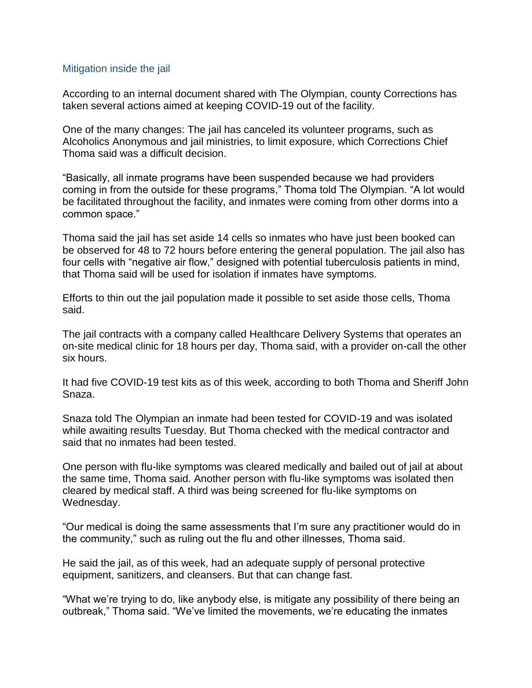## Mitigation inside the jail

According to an internal document shared with The Olympian, county Corrections has taken several actions aimed at keeping COVID-19 out of the facility.

One of the many changes: The jail has canceled its volunteer programs, such as Alcoholics Anonymous and jail ministries, to limit exposure, which Corrections Chief Thoma said was a difficult decision.

"Basically, all inmate programs have been suspended because we had providers coming in from the outside for these programs," Thoma told The Olympian. "A lot would be facilitated throughout the facility, and inmates were coming from other dorms into a common space."

Thoma said the jail has set aside 14 cells so inmates who have just been booked can be observed for 48 to 72 hours before entering the general population. The jail also has four cells with "negative air flow," designed with potential tuberculosis patients in mind, that Thoma said will be used for isolation if inmates have symptoms.

Efforts to thin out the jail population made it possible to set aside those cells, Thoma said.

The jail contracts with a company called Healthcare Delivery Systems that operates an on-site medical clinic for 18 hours per day, Thoma said, with a provider on-call the other six hours.

It had five COVID-19 test kits as of this week, according to both Thoma and Sheriff John Snaza.

Snaza told The Olympian an inmate had been tested for COVID-19 and was isolated while awaiting results Tuesday. But Thoma checked with the medical contractor and said that no inmates had been tested.

One person with flu-like symptoms was cleared medically and bailed out of jail at about the same time, Thoma said. Another person with flu-like symptoms was isolated then cleared by medical staff. A third was being screened for flu-like symptoms on Wednesday.

"Our medical is doing the same assessments that I'm sure any practitioner would do in the community," such as ruling out the flu and other illnesses, Thoma said.

He said the jail, as of this week, had an adequate supply of personal protective equipment, sanitizers, and cleansers. But that can change fast.

"What we're trying to do, like anybody else, is mitigate any possibility of there being an outbreak," Thoma said. "We've limited the movements, we're educating the inmates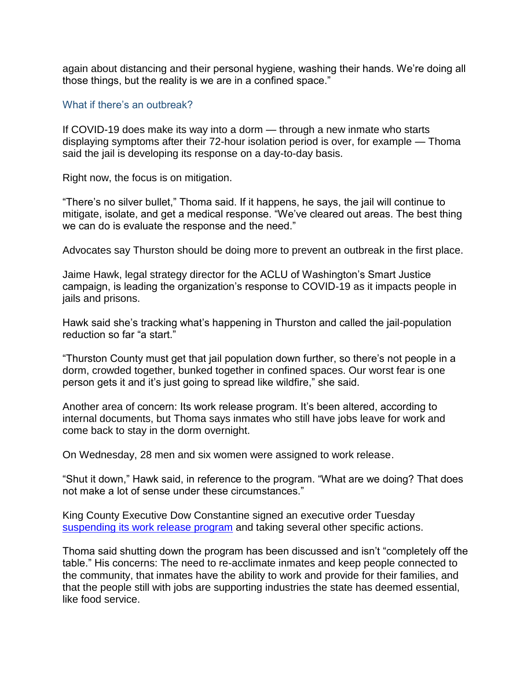again about distancing and their personal hygiene, washing their hands. We're doing all those things, but the reality is we are in a confined space."

#### What if there's an outbreak?

If COVID-19 does make its way into a dorm — through a new inmate who starts displaying symptoms after their 72-hour isolation period is over, for example — Thoma said the jail is developing its response on a day-to-day basis.

Right now, the focus is on mitigation.

"There's no silver bullet," Thoma said. If it happens, he says, the jail will continue to mitigate, isolate, and get a medical response. "We've cleared out areas. The best thing we can do is evaluate the response and the need."

Advocates say Thurston should be doing more to prevent an outbreak in the first place.

Jaime Hawk, legal strategy director for the ACLU of Washington's Smart Justice campaign, is leading the organization's response to COVID-19 as it impacts people in jails and prisons.

Hawk said she's tracking what's happening in Thurston and called the jail-population reduction so far "a start."

"Thurston County must get that jail population down further, so there's not people in a dorm, crowded together, bunked together in confined spaces. Our worst fear is one person gets it and it's just going to spread like wildfire," she said.

Another area of concern: Its work release program. It's been altered, according to internal documents, but Thoma says inmates who still have jobs leave for work and come back to stay in the dorm overnight.

On Wednesday, 28 men and six women were assigned to work release.

"Shut it down," Hawk said, in reference to the program. "What are we doing? That does not make a lot of sense under these circumstances."

King County Executive Dow Constantine signed an executive order Tuesda[y](https://www.kingcounty.gov/elected/executive/constantine/news/release/2020/March/24-jail-population.aspx) [suspending its work release program](https://www.kingcounty.gov/elected/executive/constantine/news/release/2020/March/24-jail-population.aspx) and taking several other specific actions.

Thoma said shutting down the program has been discussed and isn't "completely off the table." His concerns: The need to re-acclimate inmates and keep people connected to the community, that inmates have the ability to work and provide for their families, and that the people still with jobs are supporting industries the state has deemed essential, like food service.